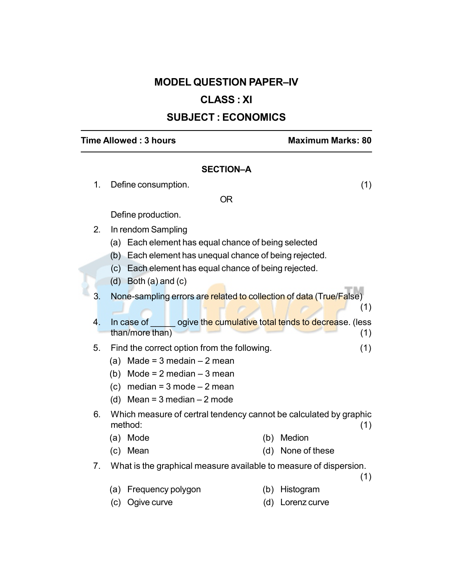# MODEL QUESTION PAPER–IV

# CLASS : XI

# SUBJECT : ECONOMICS

## Time Allowed : 3 hours Maximum Marks: 80

### SECTION–A

OR

1. Define consumption. (1)

(1)

# Define production.

- 2. In rendom Sampling
	- (a) Each element has equal chance of being selected
	- (b) Each element has unequal chance of being rejected.
	- (c) Each element has equal chance of being rejected.
	- (d) Both (a) and (c)

3. None-sampling errors are related to collection of data (True/False)

- 4. In case of ogive the cumulative total tends to decrease. (less than/more than) (1)
- 5. Find the correct option from the following. (1)
	- (a) Made =  $3$  medain  $-2$  mean
	- (b) Mode =  $2$  median  $-3$  mean
	- (c) median =  $3$  mode  $-2$  mean
	- (d) Mean =  $3$  median  $-2$  mode
- 6. Which measure of certral tendency cannot be calculated by graphic method: (1)
	- (a) Mode (b) Medion
	- (c) Mean (d) None of these
- 7. What is the graphical measure available to measure of dispersion.

(1)

- (a) Frequency polygon (b) Histogram
- (c) Ogive curve (d) Lorenz curve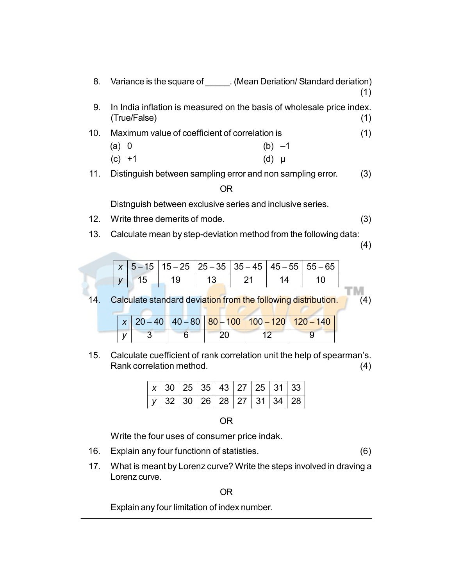| 8.  |                                                            | Variance is the square of (Mean Deriation/Standard deriation)         |     |  |  |
|-----|------------------------------------------------------------|-----------------------------------------------------------------------|-----|--|--|
| 9.  | (True/False)                                               | In India inflation is measured on the basis of wholesale price index. | (1) |  |  |
| 10. | Maximum value of coefficient of correlation is             |                                                                       |     |  |  |
|     | (a) 0                                                      | (b) $-1$                                                              |     |  |  |
|     | $(c) +1$                                                   | (d)<br>IJ                                                             |     |  |  |
| 11. | Distinguish between sampling error and non sampling error. |                                                                       | (3) |  |  |

## OR

Distnguish between exclusive series and inclusive series.

- 12. Write three demerits of mode. (3)
- 13. Calculate mean by step-deviation method from the following data:

(4)

м

|  |    | $x   5 - 15   15 - 25   25 - 35   35 - 45   45 - 55   55 - 65  $ |  |
|--|----|------------------------------------------------------------------|--|
|  | 10 |                                                                  |  |

14. Calculate standard deviation from the following distribution. (4)

|  |  |  | $x   20 - 40   40 - 80   80 - 100   100 - 120   120 - 140  $ |
|--|--|--|--------------------------------------------------------------|
|  |  |  |                                                              |

15. Calculate cuefficient of rank correlation unit the help of spearman's. Rank correlation method. (4)

|  | $x$ 30 25 35 43 27 25 31 33 |  |  |  |
|--|-----------------------------|--|--|--|
|  | $y$ 32 30 26 28 27 31 34 28 |  |  |  |

OR

Write the four uses of consumer price indak.

- 16. Explain any four functionn of statisties. (6)
- 17. What is meant by Lorenz curve? Write the steps involved in draving a Lorenz curve.

OR

Explain any four limitation of index number.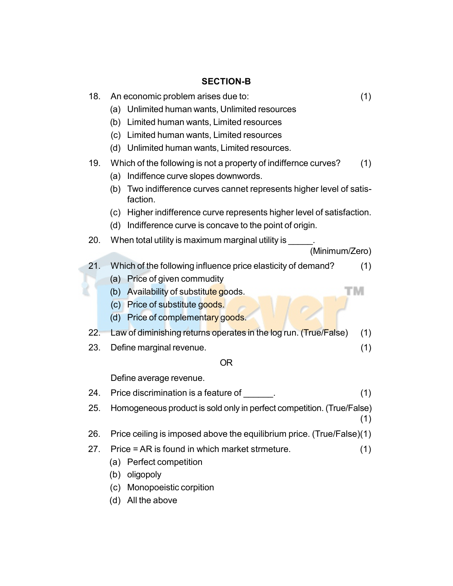# SECTION-B

| 18.<br>19. | (1)<br>An economic problem arises due to:<br>(a) Unlimited human wants, Unlimited resources<br>Limited human wants, Limited resources<br>(b)<br>(c) Limited human wants, Limited resources<br>(d) Unlimited human wants, Limited resources.<br>Which of the following is not a property of indiffernce curves?<br>(1)<br>Indiffence curve slopes downwords.<br>(a) |
|------------|--------------------------------------------------------------------------------------------------------------------------------------------------------------------------------------------------------------------------------------------------------------------------------------------------------------------------------------------------------------------|
|            | Two indifference curves cannet represents higher level of satis-<br>(b)<br>faction.<br>(c) Higher indifference curve represents higher level of satisfaction.<br>Indifference curve is concave to the point of origin.<br>(d)                                                                                                                                      |
| 20.        | When total utility is maximum marginal utility is<br>(Minimum/Zero)                                                                                                                                                                                                                                                                                                |
| 21.        | Which of the following influence price elasticity of demand?<br>(1)<br>(a) Price of given commudity                                                                                                                                                                                                                                                                |
|            | (b) Availability of substitute goods.<br>(c) Price of substitute goods.<br>Price of complementary goods.<br>(d)                                                                                                                                                                                                                                                    |
| 22.        | Law of diminishing returns operates in the log run. (True/False)<br>(1)                                                                                                                                                                                                                                                                                            |
| 23.        | (1)<br>Define marginal revenue.                                                                                                                                                                                                                                                                                                                                    |
|            | <b>OR</b>                                                                                                                                                                                                                                                                                                                                                          |
|            | Define average revenue.                                                                                                                                                                                                                                                                                                                                            |
| 24.        | Price discrimination is a feature of<br>(1)                                                                                                                                                                                                                                                                                                                        |
| 25.        | Homogeneous product is sold only in perfect competition. (True/False)<br>(1)                                                                                                                                                                                                                                                                                       |
| 26.        | Price ceiling is imposed above the equilibrium price. (True/False)(1)                                                                                                                                                                                                                                                                                              |
| 27.        | Price = AR is found in which market strmeture.<br>(1)<br>Perfect competition<br>(a)<br>oligopoly<br>(b)<br>Monopoeistic corpition<br>(c)<br>All the above<br>(d)                                                                                                                                                                                                   |